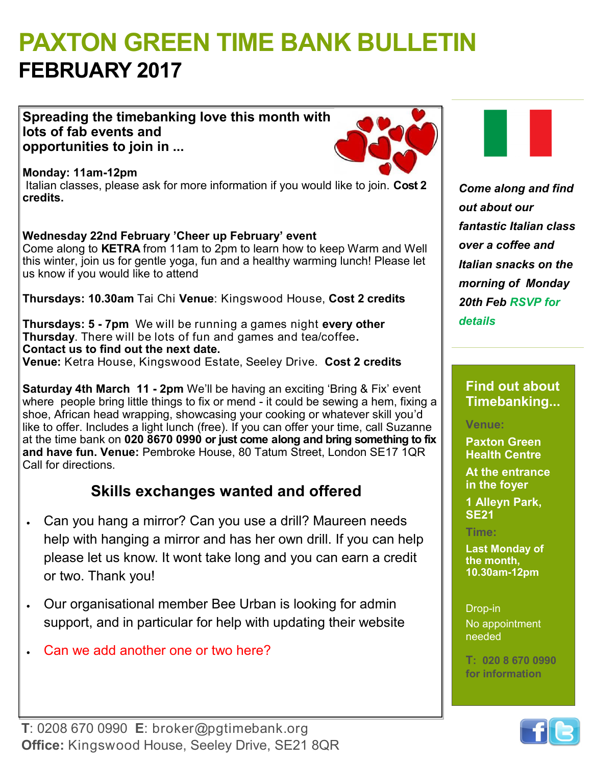# **PAXTON GREEN TIME BANK BULLETIN FEBRUARY 2017**

**Spreading the timebanking love this month with lots of fab events and opportunities to join in ...**



**Monday: 11am-12pm** Italian classes, please ask for more information if you would like to join. **Cost 2 credits.**

**Wednesday 22nd February 'Cheer up February' event**  Come along to **KETRA** from 11am to 2pm to learn how to keep Warm and Well this winter, join us for gentle yoga, fun and a healthy warming lunch! Please let us know if you would like to attend

**Thursdays: 10.30am** Tai Chi **Venue**: Kingswood House, **Cost 2 credits**

**Thursdays: 5 - 7pm** We will be running a games night **every other Thursday**. There will be lots of fun and games and tea/coffee**. Contact us to find out the next date. Venue:** Ketra House, Kingswood Estate, Seeley Drive. **Cost 2 credits** 

**Saturday 4th March 11 - 2pm** We'll be having an exciting 'Bring & Fix' event where people bring little things to fix or mend - it could be sewing a hem, fixing a shoe, African head wrapping, showcasing your cooking or whatever skill you'd like to offer. Includes a light lunch (free). If you can offer your time, call Suzanne at the time bank on **020 8670 0990 or just come along and bring something to fix and have fun. Venue:** Pembroke House, 80 Tatum Street, London SE17 1QR Call for directions.

# **Skills exchanges wanted and offered**

- Can you hang a mirror? Can you use a drill? Maureen needs help with hanging a mirror and has her own drill. If you can help please let us know. It wont take long and you can earn a credit or two. Thank you!
- Our organisational member Bee Urban is looking for admin support, and in particular for help with updating their website
- Can we add another one or two here?

*Come along and find out about our fantastic Italian class over a coffee and Italian snacks on the morning of Monday 20th Feb RSVP for details* 

## **Find out about Timebanking...**

### **Venue:**

**Paxton Green Health Centre** 

**At the entrance in the foyer**

**1 Alleyn Park, SE21**

#### **Time:**

**Last Monday of the month, 10.30am-12pm**

Drop-in No appointment needed

**T: 020 8 670 0990 for information**